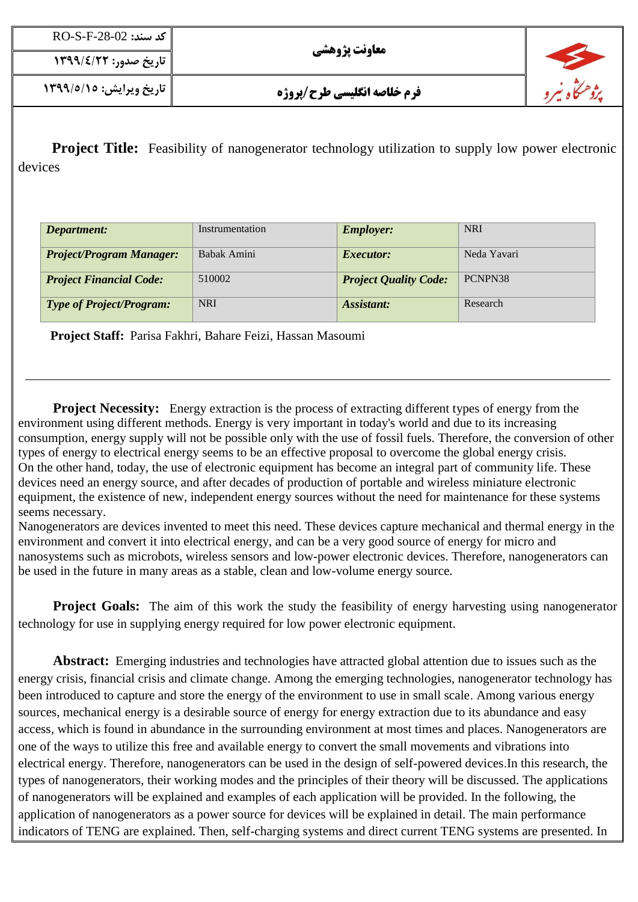| $\overline{RO}$ -S-F-28-02 كد سند: | معاونت پژوهشی                      |  |
|------------------------------------|------------------------------------|--|
| ∥ تاریخ صدور: ۱۳۹۹/٤/۲۲            |                                    |  |
| تاریخ ویرایش: ۱۳۹۹/۵/۱۵            | <b>فرم خلاصه انگلیسی طرح/پروژه</b> |  |

**Project Title:** Feasibility of nanogenerator technology utilization to supply low power electronic devices

| Department:                     | Instrumentation | <b>Employer:</b>             | <b>NRI</b>  |
|---------------------------------|-----------------|------------------------------|-------------|
| <b>Project/Program Manager:</b> | Babak Amini     | <i>Executor:</i>             | Neda Yavari |
| <b>Project Financial Code:</b>  | 510002          | <b>Project Quality Code:</b> | PCNPN38     |
| <b>Type of Project/Program:</b> | <b>NRI</b>      | Assistant:                   | Research    |

**Project Staff:** Parisa Fakhri, Bahare Feizi, Hassan Masoumi

**Project Necessity:** Energy extraction is the process of extracting different types of energy from the environment using different methods. Energy is very important in today's world and due to its increasing consumption, energy supply will not be possible only with the use of fossil fuels. Therefore, the conversion of other types of energy to electrical energy seems to be an effective proposal to overcome the global energy crisis. On the other hand, today, the use of electronic equipment has become an integral part of community life. These devices need an energy source, and after decades of production of portable and wireless miniature electronic equipment, the existence of new, independent energy sources without the need for maintenance for these systems seems necessary.

Nanogenerators are devices invented to meet this need. These devices capture mechanical and thermal energy in the environment and convert it into electrical energy, and can be a very good source of energy for micro and nanosystems such as microbots, wireless sensors and low-power electronic devices. Therefore, nanogenerators can be used in the future in many areas as a stable, clean and low-volume energy source.

**Project Goals:** The aim of this work the study the feasibility of energy harvesting using nanogenerator technology for use in supplying energy required for low power electronic equipment.

 **Abstract:** Emerging industries and technologies have attracted global attention due to issues such as the energy crisis, financial crisis and climate change. Among the emerging technologies, nanogenerator technology has been introduced to capture and store the energy of the environment to use in small scale. Among various energy sources, mechanical energy is a desirable source of energy for energy extraction due to its abundance and easy access, which is found in abundance in the surrounding environment at most times and places. Nanogenerators are one of the ways to utilize this free and available energy to convert the small movements and vibrations into electrical energy. Therefore, nanogenerators can be used in the design of self-powered devices.In this research, the types of nanogenerators, their working modes and the principles of their theory will be discussed. The applications of nanogenerators will be explained and examples of each application will be provided. In the following, the application of nanogenerators as a power source for devices will be explained in detail. The main performance indicators of TENG are explained. Then, self-charging systems and direct current TENG systems are presented. In